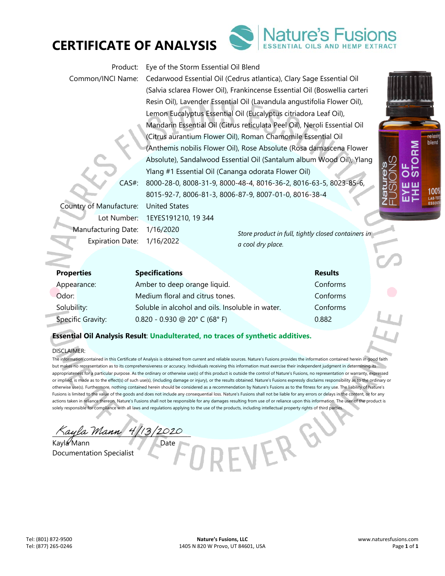

Lemon Eucalyptus Essential Oil (Eucalyptus citriadora Leaf Oil), Mandarin Essential Oil (Citrus reticulata Peel Oil), Neroli Essential Oil (Citrus aurantium Flower Oil), Roman Chamomile Essential Oil (Anthemis nobilis Flower Oil), Rose Absolute (Rosa damascena Flower Absolute), Sandalwood Essential Oil (Santalum album Wood Oil), Ylang Ylang #1 Essential Oil (Cananga odorata Flower Oil) CAS#: 8000-28-0, 8008-31-9, 8000-48-4, 8016-36-2, 8016-63-5, 8023-85-6, 8015-92-7, 8006-81-3, 8006-87-9, 8007-01-0, 8016-38-4 Country of Manufacture: United States

(Salvia sclarea Flower Oil), Frankincense Essential Oil (Boswellia carteri Resin Oil), Lavender Essential Oil (Lavandula angustifolia Flower Oil),

Lot Number: 1EYES191210, 19 344 Manufacturing Date: 1/16/2020 Expiration Date: 1/16/2022

**CERTIFICATE OF ANALYSIS** 

*a cool dry place.* 

VER

| <b>Properties</b> | <b>Specifications</b>                            | <b>Results</b> |
|-------------------|--------------------------------------------------|----------------|
| Appearance:       | Amber to deep orange liquid.                     | Conforms       |
| Odor:             | Medium floral and citrus tones.                  | Conforms       |
| Solubility:       | Soluble in alcohol and oils. Insoluble in water. | Conforms       |
| Specific Gravity: | $0.820 - 0.930$ @ 20° C (68° F)                  | 0.882          |

Product: Eye of the Storm Essential Oil Blend

Common/INCI Name: Cedarwood Essential Oil (Cedrus atlantica), Clary Sage Essential Oil

## **Essential Oil Analysis Result**: **Unadulterated, no traces of synthetic additives.**

### DISCLAIMER:

The information contained in this Certificate of Analysis is obtained from current and reliable sources. Nature's Fusions provides the information contained herein in good faith but makes no representation as to its comprehensiveness or accuracy. Individuals receiving this information must exercise their independent judgment in determining its appropriateness for a particular purpose. As the ordinary or otherwise use(s) of this product is outside the control of Nature's Fusions, no representation or warranty, expressed or implied, is made as to the effect(s) of such use(s), (including damage or injury), or the results obtained. Nature's Fusions expressly disclaims responsibility as to the ordinary or otherwise use(s). Furthermore, nothing contained herein should be considered as a recommendation by Nature's Fusions as to the fitness for any use. The liability of Nature's Fusions is limited to the value of the goods and does not include any consequential loss. Nature's Fusions shall not be liable for any errors or delays in the content, or for any actions taken in reliance thereon. Nature's Fusions shall not be responsible for any damages resulting from use of or reliance upon this information. The user of the product is solely responsible for compliance with all laws and regulations applying to the use of the products, including intellectual property rights of third parties.

ayla Mann 4/13/2020

Kayla Mann Date Documentation Specialist



*Store product in full, tightly closed containers in* 

relaxi blend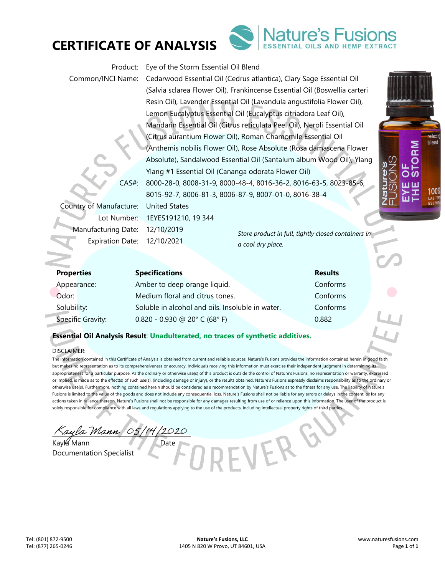

Product: Eye of the Storm Essential Oil Blend Common/INCI Name: Cedarwood Essential Oil (Cedrus atlantica), Clary Sage Essential Oil (Salvia sclarea Flower Oil), Frankincense Essential Oil (Boswellia carteri Resin Oil), Lavender Essential Oil (Lavandula angustifolia Flower Oil), Lemon Eucalyptus Essential Oil (Eucalyptus citriadora Leaf Oil), Mandarin Essential Oil (Citrus reticulata Peel Oil), Neroli Essential Oil (Citrus aurantium Flower Oil), Roman Chamomile Essential Oil (Anthemis nobilis Flower Oil), Rose Absolute (Rosa damascena Flower Absolute), Sandalwood Essential Oil (Santalum album Wood Oil), Ylang Ylang #1 Essential Oil (Cananga odorata Flower Oil) CAS#: 8000-28-0, 8008-31-9, 8000-48-4, 8016-36-2, 8016-63-5, 8023-85-6, 8015-92-7, 8006-81-3, 8006-87-9, 8007-01-0, 8016-38-4

Manufacturing Date: 12/10/2019 Expiration Date: 12/10/2021

**CERTIFICATE OF ANALYSIS** 

Country of Manufacture: United States Lot Number: 1EYES191210, 19 344

*Store product in full, tightly closed containers in a cool dry place.* 

IER

| <b>Properties</b> | <b>Specifications</b>                            | <b>Results</b> |
|-------------------|--------------------------------------------------|----------------|
| Appearance:       | Amber to deep orange liquid.                     | Conforms       |
| Odor:             | Medium floral and citrus tones.                  | Conforms       |
| Solubility:       | Soluble in alcohol and oils. Insoluble in water. | Conforms       |
| Specific Gravity: | $0.820 - 0.930$ @ 20° C (68° F)                  | 0.882          |

## **Essential Oil Analysis Result**: **Unadulterated, no traces of synthetic additives.**

### DISCLAIMER:

The information contained in this Certificate of Analysis is obtained from current and reliable sources. Nature's Fusions provides the information contained herein in good faith but makes no representation as to its comprehensiveness or accuracy. Individuals receiving this information must exercise their independent judgment in determining its appropriateness for a particular purpose. As the ordinary or otherwise use(s) of this product is outside the control of Nature's Fusions, no representation or warranty, expressed or implied, is made as to the effect(s) of such use(s), (including damage or injury), or the results obtained. Nature's Fusions expressly disclaims responsibility as to the ordinary or otherwise use(s). Furthermore, nothing contained herein should be considered as a recommendation by Nature's Fusions as to the fitness for any use. The liability of Nature's Fusions is limited to the value of the goods and does not include any consequential loss. Nature's Fusions shall not be liable for any errors or delays in the content, or for any actions taken in reliance thereon. Nature's Fusions shall not be responsible for any damages resulting from use of or reliance upon this information. The user of the product is solely responsible for compliance with all laws and regulations applying to the use of the products, including intellectual property rights of third parties.

ayla Mann 05/14/2020

Kayla Mann Documentation Specialist

relaxi blend

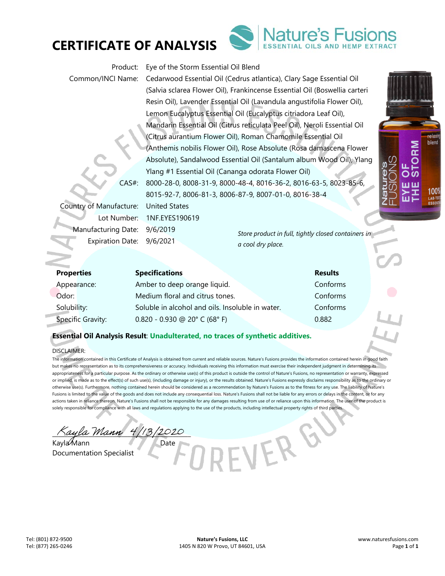

# **CERTIFICATE OF ANALYSIS**

Product: Eye of the Storm Essential Oil Blend

Common/INCI Name: Cedarwood Essential Oil (Cedrus atlantica), Clary Sage Essential Oil (Salvia sclarea Flower Oil), Frankincense Essential Oil (Boswellia carteri Resin Oil), Lavender Essential Oil (Lavandula angustifolia Flower Oil), Lemon Eucalyptus Essential Oil (Eucalyptus citriadora Leaf Oil), Mandarin Essential Oil (Citrus reticulata Peel Oil), Neroli Essential Oil (Citrus aurantium Flower Oil), Roman Chamomile Essential Oil (Anthemis nobilis Flower Oil), Rose Absolute (Rosa damascena Flower Absolute), Sandalwood Essential Oil (Santalum album Wood Oil), Ylang Ylang #1 Essential Oil (Cananga odorata Flower Oil) CAS#: 8000-28-0, 8008-31-9, 8000-48-4, 8016-36-2, 8016-63-5, 8023-85-6, 8015-92-7, 8006-81-3, 8006-87-9, 8007-01-0, 8016-38-4

Country of Manufacture: United States Lot Number: 1NF.EYES190619 Manufacturing Date: 9/6/2019 Expiration Date: 9/6/2021

*Store product in full, tightly closed containers in a cool dry place.* 

VER

| <b>Properties</b> | <b>Specifications</b>                            | <b>Results</b> |
|-------------------|--------------------------------------------------|----------------|
| Appearance:       | Amber to deep orange liquid.                     | Conforms       |
| Odor:             | Medium floral and citrus tones.                  | Conforms       |
| Solubility:       | Soluble in alcohol and oils. Insoluble in water. | Conforms       |
| Specific Gravity: | $0.820 - 0.930$ @ 20° C (68° F)                  | 0.882          |

## **Essential Oil Analysis Result**: **Unadulterated, no traces of synthetic additives.**

### DISCLAIMER:

The information contained in this Certificate of Analysis is obtained from current and reliable sources. Nature's Fusions provides the information contained herein in good faith but makes no representation as to its comprehensiveness or accuracy. Individuals receiving this information must exercise their independent judgment in determining its appropriateness for a particular purpose. As the ordinary or otherwise use(s) of this product is outside the control of Nature's Fusions, no representation or warranty, expressed or implied, is made as to the effect(s) of such use(s), (including damage or injury), or the results obtained. Nature's Fusions expressly disclaims responsibility as to the ordinary or otherwise use(s). Furthermore, nothing contained herein should be considered as a recommendation by Nature's Fusions as to the fitness for any use. The liability of Nature's Fusions is limited to the value of the goods and does not include any consequential loss. Nature's Fusions shall not be liable for any errors or delays in the content, or for any actions taken in reliance thereon. Nature's Fusions shall not be responsible for any damages resulting from use of or reliance upon this information. The user of the product is solely responsible for compliance with all laws and regulations applying to the use of the products, including intellectual property rights of third parties.

aula Mann 4/13/2020 Kayla Mann Date

Documentation Specialist



ature's Fusi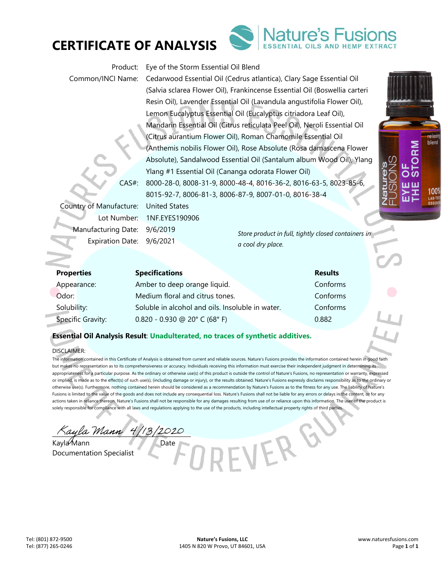

## **CERTIFICATE OF ANALYSIS**

Product: Eye of the Storm Essential Oil Blend

Common/INCI Name: Cedarwood Essential Oil (Cedrus atlantica), Clary Sage Essential Oil (Salvia sclarea Flower Oil), Frankincense Essential Oil (Boswellia carteri Resin Oil), Lavender Essential Oil (Lavandula angustifolia Flower Oil), Lemon Eucalyptus Essential Oil (Eucalyptus citriadora Leaf Oil), Mandarin Essential Oil (Citrus reticulata Peel Oil), Neroli Essential Oil (Citrus aurantium Flower Oil), Roman Chamomile Essential Oil (Anthemis nobilis Flower Oil), Rose Absolute (Rosa damascena Flower Absolute), Sandalwood Essential Oil (Santalum album Wood Oil), Ylang Ylang #1 Essential Oil (Cananga odorata Flower Oil) CAS#: 8000-28-0, 8008-31-9, 8000-48-4, 8016-36-2, 8016-63-5, 8023-85-6, 8015-92-7, 8006-81-3, 8006-87-9, 8007-01-0, 8016-38-4

Country of Manufacture: United States Lot Number: 1NF.EYES190906 Manufacturing Date: 9/6/2019 Expiration Date: 9/6/2021

*Store product in full, tightly closed containers in a cool dry place.* 

VERG

ature's Fusi

| <b>Properties</b>        | <b>Specifications</b>                            | <b>Results</b> |
|--------------------------|--------------------------------------------------|----------------|
| Appearance:              | Amber to deep orange liquid.                     | Conforms       |
| Odor:                    | Medium floral and citrus tones.                  | Conforms       |
| Solubility:              | Soluble in alcohol and oils. Insoluble in water. | Conforms       |
| <b>Specific Gravity:</b> | $0.820 - 0.930$ @ 20° C (68° F)                  | 0.882          |

## **Essential Oil Analysis Result**: **Unadulterated, no traces of synthetic additives.**

### DISCLAIMER:

The information contained in this Certificate of Analysis is obtained from current and reliable sources. Nature's Fusions provides the information contained herein in good faith but makes no representation as to its comprehensiveness or accuracy. Individuals receiving this information must exercise their independent judgment in determining its appropriateness for a particular purpose. As the ordinary or otherwise use(s) of this product is outside the control of Nature's Fusions, no representation or warranty, expressed or implied, is made as to the effect(s) of such use(s), (including damage or injury), or the results obtained. Nature's Fusions expressly disclaims responsibility as to the ordinary or otherwise use(s). Furthermore, nothing contained herein should be considered as a recommendation by Nature's Fusions as to the fitness for any use. The liability of Nature's Fusions is limited to the value of the goods and does not include any consequential loss. Nature's Fusions shall not be liable for any errors or delays in the content, or for any actions taken in reliance thereon. Nature's Fusions shall not be responsible for any damages resulting from use of or reliance upon this information. The user of the product is solely responsible for compliance with all laws and regulations applying to the use of the products, including intellectual property rights of third parties.

ayla Mann 4/13/2020

Kayla Mann Date Documentation Specialist

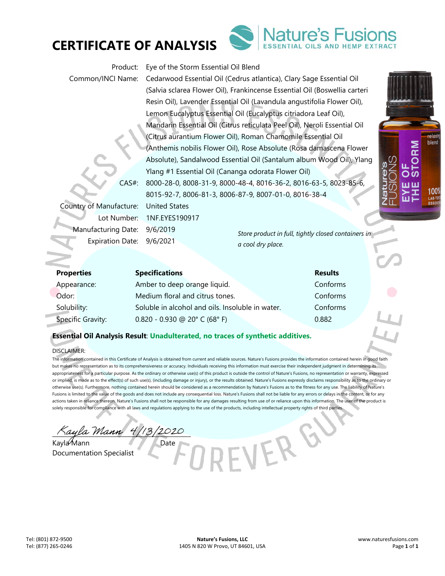

## **CERTIFICATE OF ANALYSIS**

Product: Eye of the Storm Essential Oil Blend

Common/INCI Name: Cedarwood Essential Oil (Cedrus atlantica), Clary Sage Essential Oil (Salvia sclarea Flower Oil), Frankincense Essential Oil (Boswellia carteri Resin Oil), Lavender Essential Oil (Lavandula angustifolia Flower Oil), Lemon Eucalyptus Essential Oil (Eucalyptus citriadora Leaf Oil), Mandarin Essential Oil (Citrus reticulata Peel Oil), Neroli Essential Oil (Citrus aurantium Flower Oil), Roman Chamomile Essential Oil (Anthemis nobilis Flower Oil), Rose Absolute (Rosa damascena Flower Absolute), Sandalwood Essential Oil (Santalum album Wood Oil), Ylang Ylang #1 Essential Oil (Cananga odorata Flower Oil) CAS#: 8000-28-0, 8008-31-9, 8000-48-4, 8016-36-2, 8016-63-5, 8023-85-6, 8015-92-7, 8006-81-3, 8006-87-9, 8007-01-0, 8016-38-4

Country of Manufacture: United States Lot Number: 1NF.EYES190917 Manufacturing Date: 9/6/2019 Expiration Date: 9/6/2021

*Store product in full, tightly closed containers in a cool dry place.* 

VERG

| <b>Properties</b> | <b>Specifications</b>                            | <b>Results</b> |
|-------------------|--------------------------------------------------|----------------|
| Appearance:       | Amber to deep orange liquid.                     | Conforms       |
| Odor:             | Medium floral and citrus tones.                  | Conforms       |
| Solubility:       | Soluble in alcohol and oils. Insoluble in water. | Conforms       |
| Specific Gravity: | $0.820 - 0.930$ @ 20° C (68° F)                  | 0.882          |

## **Essential Oil Analysis Result**: **Unadulterated, no traces of synthetic additives.**

### DISCLAIMER:

The information contained in this Certificate of Analysis is obtained from current and reliable sources. Nature's Fusions provides the information contained herein in good faith but makes no representation as to its comprehensiveness or accuracy. Individuals receiving this information must exercise their independent judgment in determining its appropriateness for a particular purpose. As the ordinary or otherwise use(s) of this product is outside the control of Nature's Fusions, no representation or warranty, expressed or implied, is made as to the effect(s) of such use(s), (including damage or injury), or the results obtained. Nature's Fusions expressly disclaims responsibility as to the ordinary or otherwise use(s). Furthermore, nothing contained herein should be considered as a recommendation by Nature's Fusions as to the fitness for any use. The liability of Nature's Fusions is limited to the value of the goods and does not include any consequential loss. Nature's Fusions shall not be liable for any errors or delays in the content, or for any actions taken in reliance thereon. Nature's Fusions shall not be responsible for any damages resulting from use of or reliance upon this information. The user of the product is solely responsible for compliance with all laws and regulations applying to the use of the products, including intellectual property rights of third parties.

ayla Mann 4/13/2020

Kayla Mann Date

Documentation Specialist